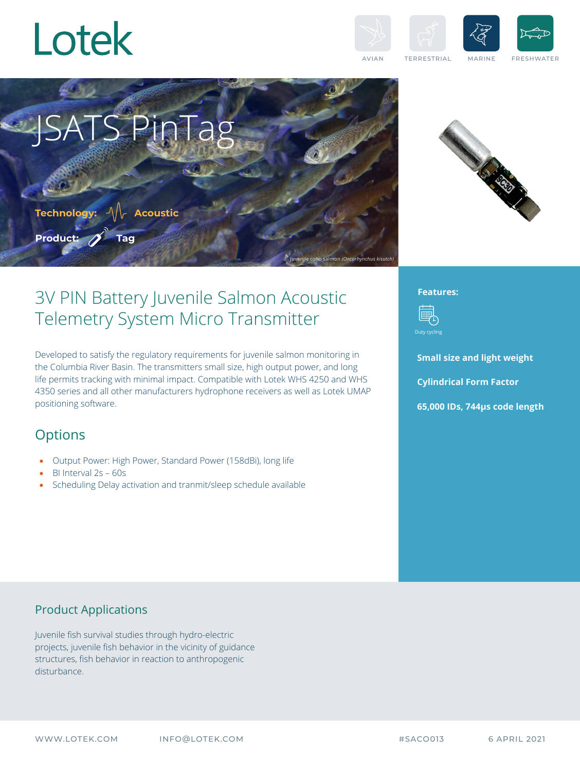



AVIAN TERRESTRIAL MARINE FRESHWATER

Juvenile coho salmon *(Oncorhynchus kisutch)*



## 3V PIN Battery Juvenile Salmon Acoustic Telemetry System Micro Transmitter

**SPinTag** 

Developed to satisfy the regulatory requirements for juvenile salmon monitoring in the Columbia River Basin. The transmitters small size, high output power, and long life permits tracking with minimal impact. Compatible with Lotek WHS 4250 and WHS 4350 series and all other manufacturers hydrophone receivers as well as Lotek UMAP positioning software.

### **Options**

**Product:**

**Technology: Acoustic**

**Tag**

- Output Power: High Power, Standard Power (158dBi), long life
- BI Interval 2s 60s
- Scheduling Delay activation and tranmit/sleep schedule available

#### **Features:**



**Small size and light weight Cylindrical Form Factor 65,000 IDs, 744μs code length**

#### Product Applications

Juvenile fish survival studies through hydro-electric projects, juvenile fish behavior in the vicinity of guidance structures, fish behavior in reaction to anthropogenic disturbance.